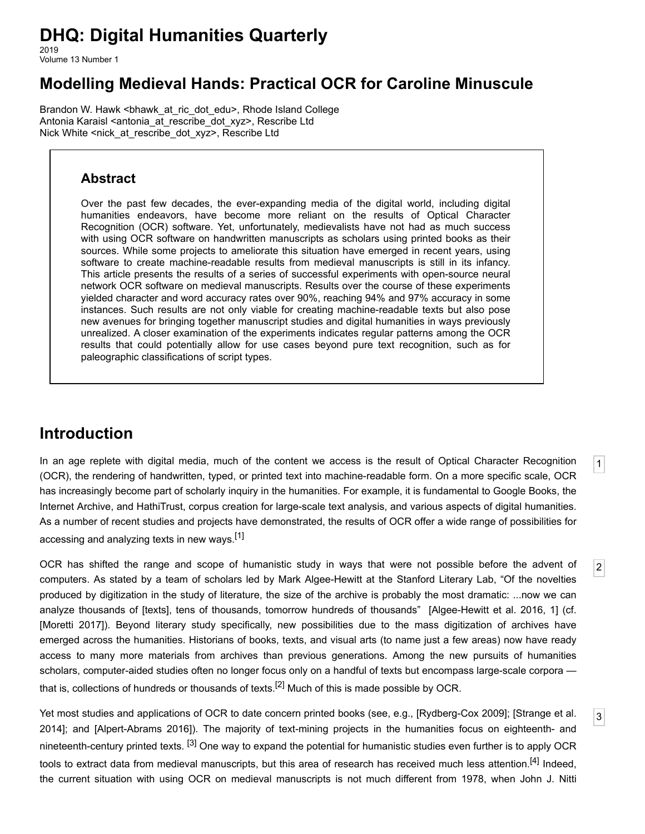# **DHQ: Digital Humanities Quarterly**

2019 Volume 13 Number 1

## **Modelling Medieval Hands: Practical OCR for Caroline Minuscule**

[Brandon W. Hawk](http://www.digitalhumanities.org/dhq/vol/13/1/bios.html#hawk_brandon_w.) <[bhawk\\_at\\_ric\\_dot\\_edu](mailto:bhawk_at_ric_dot_edu)>, Rhode Island College [Antonia Karaisl](http://www.digitalhumanities.org/dhq/vol/13/1/bios.html#karaisl_antonia) <[antonia\\_at\\_rescribe\\_dot\\_xyz](mailto:antonia_at_rescribe_dot_xyz)>, Rescribe Ltd [Nick White](http://www.digitalhumanities.org/dhq/vol/13/1/bios.html#white_nick) <[nick\\_at\\_rescribe\\_dot\\_xyz](mailto:nick_at_rescribe_dot_xyz)>, Rescribe Ltd

#### **Abstract**

Over the past few decades, the ever-expanding media of the digital world, including digital humanities endeavors, have become more reliant on the results of Optical Character Recognition (OCR) software. Yet, unfortunately, medievalists have not had as much success with using OCR software on handwritten manuscripts as scholars using printed books as their sources. While some projects to ameliorate this situation have emerged in recent years, using software to create machine-readable results from medieval manuscripts is still in its infancy. This article presents the results of a series of successful experiments with open-source neural network OCR software on medieval manuscripts. Results over the course of these experiments yielded character and word accuracy rates over 90%, reaching 94% and 97% accuracy in some instances. Such results are not only viable for creating machine-readable texts but also pose new avenues for bringing together manuscript studies and digital humanities in ways previously unrealized. A closer examination of the experiments indicates regular patterns among the OCR results that could potentially allow for use cases beyond pure text recognition, such as for paleographic classifications of script types.

## **Introduction**

<span id="page-0-0"></span>In an age replete with digital media, much of the content we access is the result of Optical Character Recognition (OCR), the rendering of handwritten, typed, or printed text into machine-readable form. On a more specific scale, OCR has increasingly become part of scholarly inquiry in the humanities. For example, it is fundamental to Google Books, the Internet Archive, and HathiTrust, corpus creation for large-scale text analysis, and various aspects of digital humanities. As a number of recent studies and projects have demonstrated, the results of OCR offer a wide range of possibilities for accessing and analyzing texts in new ways.<sup>[\[1\]](#page-14-0)</sup>

[1](#page-0-0)

[2](#page-0-1)

[3](#page-0-2)

<span id="page-0-1"></span>OCR has shifted the range and scope of humanistic study in ways that were not possible before the advent of computers. As stated by a team of scholars led by Mark Algee-Hewitt at the Stanford Literary Lab, "Of the novelties produced by digitization in the study of literature, the size of the archive is probably the most dramatic: ...now we can analyze thousands of [texts], tens of thousands, tomorrow hundreds of thousands" [[Algee-Hewitt et al. 2016,](#page-14-1) 1] (cf. [\[Moretti 2017](#page-16-0)]). Beyond literary study specifically, new possibilities due to the mass digitization of archives have emerged across the humanities. Historians of books, texts, and visual arts (to name just a few areas) now have ready access to many more materials from archives than previous generations. Among the new pursuits of humanities scholars, computer-aided studies often no longer focus only on a handful of texts but encompass large-scale corpora that is, collections of hundreds or thousands of texts.<sup>[2]</sup> Much of this is made possible by OCR.

<span id="page-0-2"></span>[Yet most studies and applications of OCR to date concern printed books \(see, e.g., \[](#page-16-2)[Rydberg-Cox 2009](#page-16-1)[\]; \[Strange et al.](#page-16-2) 2014]; and [\[Alpert-Abrams 2016\]](#page-14-3)). The majority of text-mining projects in the humanities focus on eighteenth- and nineteenth-century printed texts. [\[3\]](#page-14-4) One way to expand the potential for humanistic studies even further is to apply OCR tools to extract data from medieval manuscripts, but this area of research has received much less attention.<sup>[4]</sup> Indeed, the current situation with using OCR on medieval manuscripts is not much different from 1978, when John J. Nitti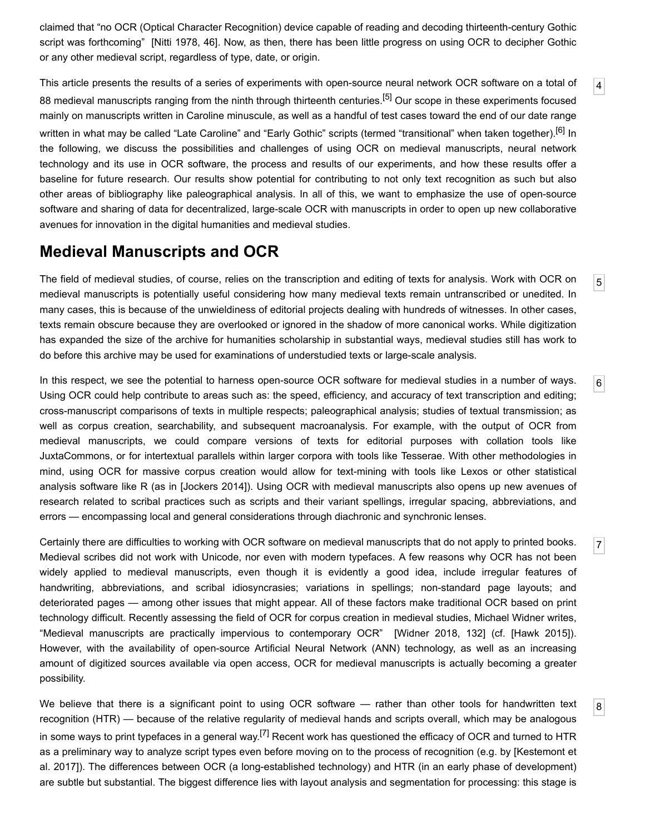claimed that "no OCR (Optical Character Recognition) device capable of reading and decoding thirteenth-century Gothic script was forthcoming" [\[Nitti 1978,](#page-16-3) 46]. Now, as then, there has been little progress on using OCR to decipher Gothic or any other medieval script, regardless of type, date, or origin.

[4](#page-1-0)

[5](#page-1-1)

[6](#page-1-2)

[7](#page-1-3)

[8](#page-1-4)

<span id="page-1-0"></span>This article presents the results of a series of experiments with open-source neural network OCR software on a total of 88 medieval manuscripts ranging from the ninth through thirteenth centuries.<sup>[5]</sup> Our scope in these experiments focused mainly on manuscripts written in Caroline minuscule, as well as a handful of test cases toward the end of our date range written in what may be called "Late Caroline" and "Early Gothic" scripts (termed "transitional" when taken together).<sup>[6]</sup> In the following, we discuss the possibilities and challenges of using OCR on medieval manuscripts, neural network technology and its use in OCR software, the process and results of our experiments, and how these results offer a baseline for future research. Our results show potential for contributing to not only text recognition as such but also other areas of bibliography like paleographical analysis. In all of this, we want to emphasize the use of open-source software and sharing of data for decentralized, large-scale OCR with manuscripts in order to open up new collaborative avenues for innovation in the digital humanities and medieval studies.

#### **Medieval Manuscripts and OCR**

<span id="page-1-1"></span>The field of medieval studies, of course, relies on the transcription and editing of texts for analysis. Work with OCR on medieval manuscripts is potentially useful considering how many medieval texts remain untranscribed or unedited. In many cases, this is because of the unwieldiness of editorial projects dealing with hundreds of witnesses. In other cases, texts remain obscure because they are overlooked or ignored in the shadow of more canonical works. While digitization has expanded the size of the archive for humanities scholarship in substantial ways, medieval studies still has work to do before this archive may be used for examinations of understudied texts or large-scale analysis.

<span id="page-1-2"></span>In this respect, we see the potential to harness open-source OCR software for medieval studies in a number of ways. Using OCR could help contribute to areas such as: the speed, efficiency, and accuracy of text transcription and editing; cross-manuscript comparisons of texts in multiple respects; paleographical analysis; studies of textual transmission; as well as corpus creation, searchability, and subsequent macroanalysis. For example, with the output of OCR from medieval manuscripts, we could compare versions of texts for editorial purposes with collation tools like JuxtaCommons, or for intertextual parallels within larger corpora with tools like Tesserae. With other methodologies in mind, using OCR for massive corpus creation would allow for text-mining with tools like Lexos or other statistical analysis software like R (as in [\[Jockers 2014\]](#page-15-0)). Using OCR with medieval manuscripts also opens up new avenues of research related to scribal practices such as scripts and their variant spellings, irregular spacing, abbreviations, and errors — encompassing local and general considerations through diachronic and synchronic lenses.

<span id="page-1-3"></span>Certainly there are difficulties to working with OCR software on medieval manuscripts that do not apply to printed books. Medieval scribes did not work with Unicode, nor even with modern typefaces. A few reasons why OCR has not been widely applied to medieval manuscripts, even though it is evidently a good idea, include irregular features of handwriting, abbreviations, and scribal idiosyncrasies; variations in spellings; non-standard page layouts; and deteriorated pages — among other issues that might appear. All of these factors make traditional OCR based on print technology difficult. Recently assessing the field of OCR for corpus creation in medieval studies, Michael Widner writes, "Medieval manuscripts are practically impervious to contemporary OCR" [\[Widner 2018](#page-16-4), 132] (cf. [\[Hawk 2015\]](#page-15-1)). However, with the availability of open-source Artificial Neural Network (ANN) technology, as well as an increasing amount of digitized sources available via open access, OCR for medieval manuscripts is actually becoming a greater possibility.

<span id="page-1-4"></span>We believe that there is a significant point to using OCR software — rather than other tools for handwritten text recognition (HTR) — because of the relative regularity of medieval hands and scripts overall, which may be analogous in some ways to print typefaces in a general way.<sup>[7]</sup> Recent work has questioned the efficacy of OCR and turned to HTR [as a preliminary way to analyze script types even before moving on to the process of recognition \(e.g. by \[Kestemont et](#page-15-2) al. 2017]). The differences between OCR (a long-established technology) and HTR (in an early phase of development) are subtle but substantial. The biggest difference lies with layout analysis and segmentation for processing: this stage is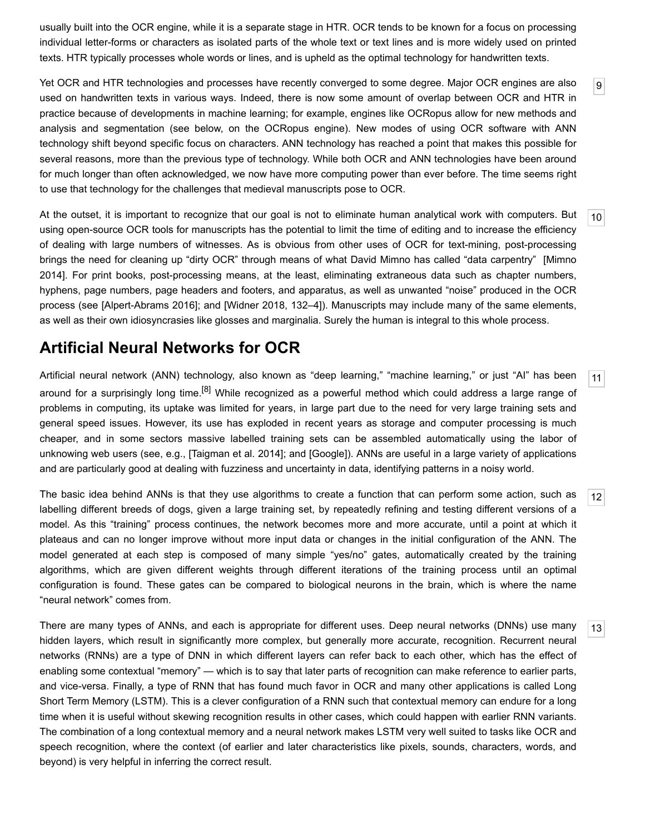usually built into the OCR engine, while it is a separate stage in HTR. OCR tends to be known for a focus on processing individual letter-forms or characters as isolated parts of the whole text or text lines and is more widely used on printed texts. HTR typically processes whole words or lines, and is upheld as the optimal technology for handwritten texts.

<span id="page-2-0"></span>Yet OCR and HTR technologies and processes have recently converged to some degree. Major OCR engines are also used on handwritten texts in various ways. Indeed, there is now some amount of overlap between OCR and HTR in practice because of developments in machine learning; for example, engines like OCRopus allow for new methods and analysis and segmentation (see below, on the OCRopus engine). New modes of using OCR software with ANN technology shift beyond specific focus on characters. ANN technology has reached a point that makes this possible for several reasons, more than the previous type of technology. While both OCR and ANN technologies have been around for much longer than often acknowledged, we now have more computing power than ever before. The time seems right to use that technology for the challenges that medieval manuscripts pose to OCR.

[9](#page-2-0)

[11](#page-2-2)

[12](#page-2-3)

[13](#page-2-4)

<span id="page-2-1"></span>[10](#page-2-1) At the outset, it is important to recognize that our goal is not to eliminate human analytical work with computers. But using open-source OCR tools for manuscripts has the potential to limit the time of editing and to increase the efficiency of dealing with large numbers of witnesses. As is obvious from other uses of OCR for text-mining, post-processing [brings the need for cleaning up "dirty OCR" through means of what David Mimno has called "data carpentry" \[Mimno](#page-15-3) 2014]. For print books, post-processing means, at the least, eliminating extraneous data such as chapter numbers, hyphens, page numbers, page headers and footers, and apparatus, as well as unwanted "noise" produced in the OCR process (see [\[Alpert-Abrams 2016](#page-14-3)]; and [\[Widner 2018](#page-16-4), 132–4]). Manuscripts may include many of the same elements, as well as their own idiosyncrasies like glosses and marginalia. Surely the human is integral to this whole process.

## **Artificial Neural Networks for OCR**

<span id="page-2-2"></span>Artificial neural network (ANN) technology, also known as "deep learning," "machine learning," or just "AI" has been around for a surprisingly long time.<sup>[8]</sup> While recognized as a powerful method which could address a large range of problems in computing, its uptake was limited for years, in large part due to the need for very large training sets and general speed issues. However, its use has exploded in recent years as storage and computer processing is much cheaper, and in some sectors massive labelled training sets can be assembled automatically using the labor of unknowing web users (see, e.g., [[Taigman et al. 2014](#page-16-5)]; and [\[Google](#page-15-4)]). ANNs are useful in a large variety of applications and are particularly good at dealing with fuzziness and uncertainty in data, identifying patterns in a noisy world.

<span id="page-2-3"></span>The basic idea behind ANNs is that they use algorithms to create a function that can perform some action, such as labelling different breeds of dogs, given a large training set, by repeatedly refining and testing different versions of a model. As this "training" process continues, the network becomes more and more accurate, until a point at which it plateaus and can no longer improve without more input data or changes in the initial configuration of the ANN. The model generated at each step is composed of many simple "yes/no" gates, automatically created by the training algorithms, which are given different weights through different iterations of the training process until an optimal configuration is found. These gates can be compared to biological neurons in the brain, which is where the name "neural network" comes from.

<span id="page-2-4"></span>There are many types of ANNs, and each is appropriate for different uses. Deep neural networks (DNNs) use many hidden layers, which result in significantly more complex, but generally more accurate, recognition. Recurrent neural networks (RNNs) are a type of DNN in which different layers can refer back to each other, which has the effect of enabling some contextual "memory" — which is to say that later parts of recognition can make reference to earlier parts, and vice-versa. Finally, a type of RNN that has found much favor in OCR and many other applications is called Long Short Term Memory (LSTM). This is a clever configuration of a RNN such that contextual memory can endure for a long time when it is useful without skewing recognition results in other cases, which could happen with earlier RNN variants. The combination of a long contextual memory and a neural network makes LSTM very well suited to tasks like OCR and speech recognition, where the context (of earlier and later characteristics like pixels, sounds, characters, words, and beyond) is very helpful in inferring the correct result.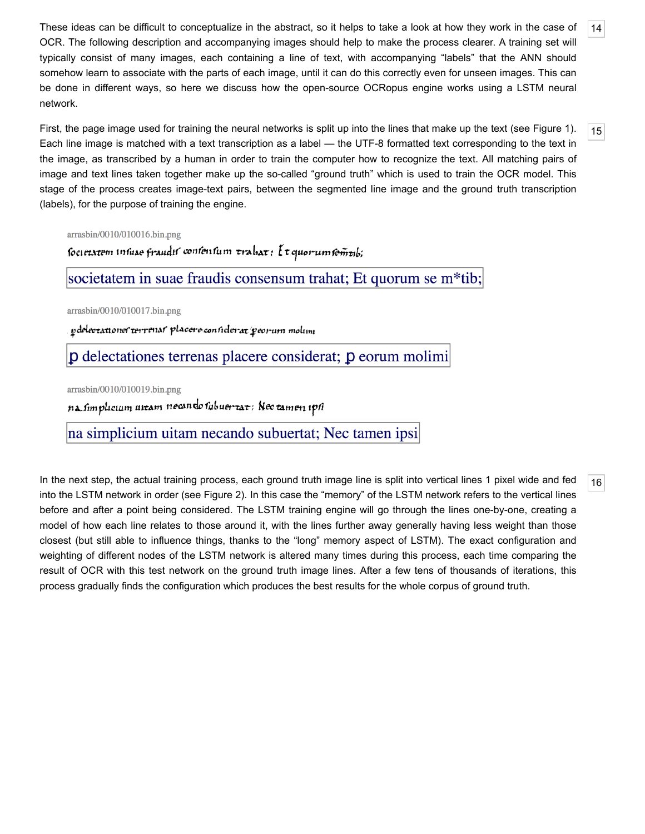<span id="page-3-0"></span>These ideas can be difficult to conceptualize in the abstract, so it helps to take a look at how they work in the case of OCR. The following description and accompanying images should help to make the process clearer. A training set will typically consist of many images, each containing a line of text, with accompanying "labels" that the ANN should somehow learn to associate with the parts of each image, until it can do this correctly even for unseen images. This can be done in different ways, so here we discuss how the open-source OCRopus engine works using a LSTM neural network.

[14](#page-3-0)

[15](#page-3-1)

[16](#page-3-2)

<span id="page-3-1"></span>First, the page image used for training the neural networks is split up into the lines that make up the text (see [Figure 1\)](#page-3-3). Each line image is matched with a text transcription as a label — the UTF-8 formatted text corresponding to the text in the image, as transcribed by a human in order to train the computer how to recognize the text. All matching pairs of image and text lines taken together make up the so-called "ground truth" which is used to train the OCR model. This stage of the process creates image-text pairs, between the segmented line image and the ground truth transcription (labels), for the purpose of training the engine.

#### <span id="page-3-3"></span>arrasbin/0010/010016.bin.png

societatem insuae fraudis consensum trahat: { t quorum semeils;

societatem in suae fraudis consensum trahat; Et quorum se m<sup>\*</sup>tib;

arrasbin/0010/010017.bin.png

pdelectationer terrenar placere considerat peorum molim

p delectationes terrenas placere considerat; p eorum molimi

arrasbin/0010/010019.bin.png

na simplicium uitam necando subuertat: Nec tamen ipsi

na simplicium uitam necando subuertat; Nec tamen ipsi

<span id="page-3-2"></span>In the next step, the actual training process, each ground truth image line is split into vertical lines 1 pixel wide and fed into the LSTM network in order (see [Figure 2\)](#page-4-0). In this case the "memory" of the LSTM network refers to the vertical lines before and after a point being considered. The LSTM training engine will go through the lines one-by-one, creating a model of how each line relates to those around it, with the lines further away generally having less weight than those closest (but still able to influence things, thanks to the "long" memory aspect of LSTM). The exact configuration and weighting of different nodes of the LSTM network is altered many times during this process, each time comparing the result of OCR with this test network on the ground truth image lines. After a few tens of thousands of iterations, this process gradually finds the configuration which produces the best results for the whole corpus of ground truth.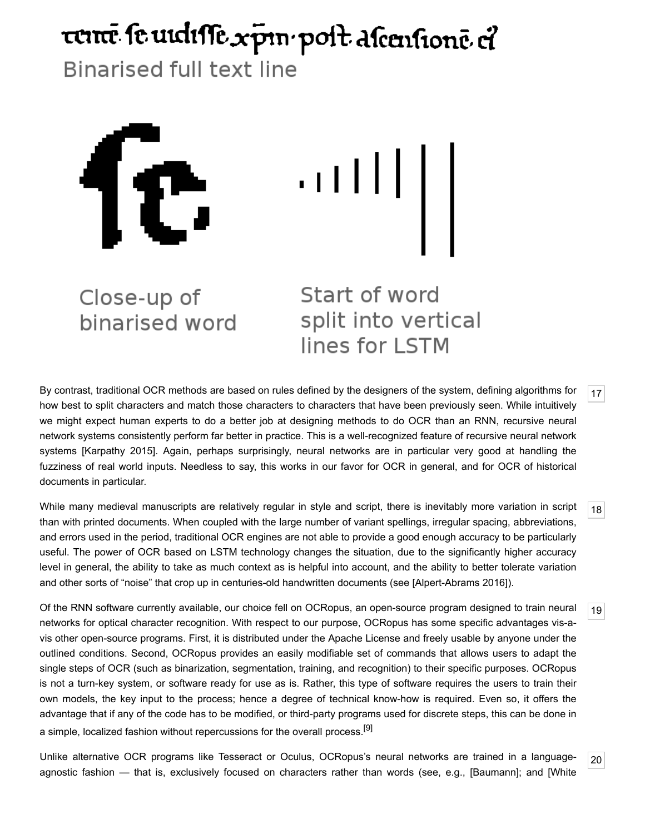# <span id="page-4-0"></span>ternē se urdisse xpin post ascensionē el

**Binarised full text line** 



Close-up of binarised word Start of word split into vertical lines for LSTM

<span id="page-4-1"></span>By contrast, traditional OCR methods are based on rules defined by the designers of the system, defining algorithms for how best to split characters and match those characters to characters that have been previously seen. While intuitively we might expect human experts to do a better job at designing methods to do OCR than an RNN, recursive neural network systems consistently perform far better in practice. This is a well-recognized feature of recursive neural network systems [\[Karpathy 2015\]](#page-15-5). Again, perhaps surprisingly, neural networks are in particular very good at handling the fuzziness of real world inputs. Needless to say, this works in our favor for OCR in general, and for OCR of historical documents in particular.

<span id="page-4-2"></span>While many medieval manuscripts are relatively regular in style and script, there is inevitably more variation in script than with printed documents. When coupled with the large number of variant spellings, irregular spacing, abbreviations, and errors used in the period, traditional OCR engines are not able to provide a good enough accuracy to be particularly useful. The power of OCR based on LSTM technology changes the situation, due to the significantly higher accuracy level in general, the ability to take as much context as is helpful into account, and the ability to better tolerate variation and other sorts of "noise" that crop up in centuries-old handwritten documents (see [\[Alpert-Abrams 2016\]](#page-14-3)).

<span id="page-4-3"></span>Of the RNN software currently available, our choice fell on OCRopus, an open-source program designed to train neural networks for optical character recognition. With respect to our purpose, OCRopus has some specific advantages vis-avis other open-source programs. First, it is distributed under the Apache License and freely usable by anyone under the outlined conditions. Second, OCRopus provides an easily modifiable set of commands that allows users to adapt the single steps of OCR (such as binarization, segmentation, training, and recognition) to their specific purposes. OCRopus is not a turn-key system, or software ready for use as is. Rather, this type of software requires the users to train their own models, the key input to the process; hence a degree of technical know-how is required. Even so, it offers the advantage that if any of the code has to be modified, or third-party programs used for discrete steps, this can be done in a simple, localized fashion without repercussions for the overall process.<sup>[9]</sup>

<span id="page-4-4"></span>Unlike alternative OCR programs like Tesseract or Oculus, OCRopus's neural networks are trained in a language[agnostic fashion — that is, exclusively focused on characters rather than words \(see, e.g., \[B](#page-16-6)[auman](#page-14-11)[n\]; and \[White](#page-16-6)

[18](#page-4-2)

[19](#page-4-3)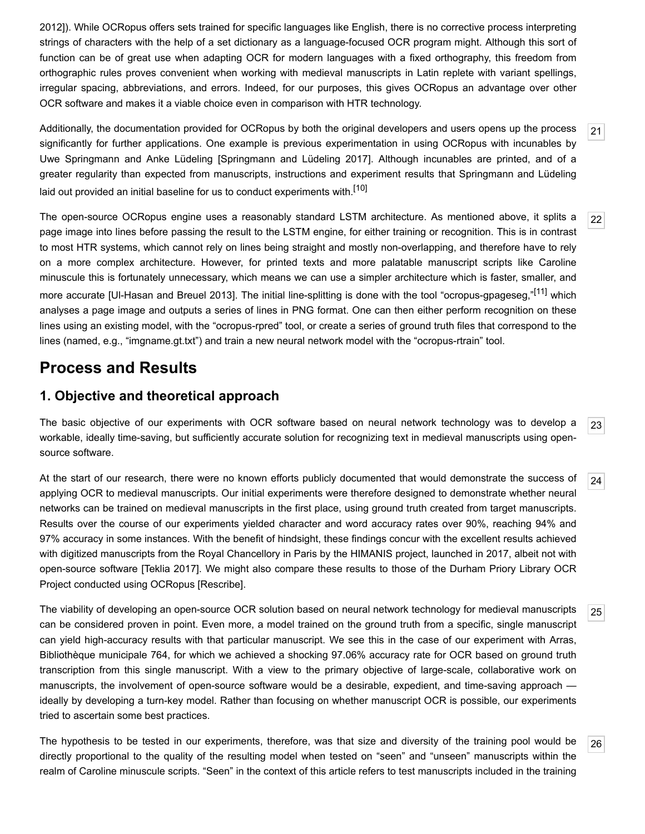[2012\]\). While OCRopus offers sets trained for specific languages like English, there is no corrective process interpreting](#page-16-6) strings of characters with the help of a set dictionary as a language-focused OCR program might. Although this sort of function can be of great use when adapting OCR for modern languages with a fixed orthography, this freedom from orthographic rules proves convenient when working with medieval manuscripts in Latin replete with variant spellings, irregular spacing, abbreviations, and errors. Indeed, for our purposes, this gives OCRopus an advantage over other OCR software and makes it a viable choice even in comparison with HTR technology.

<span id="page-5-0"></span>Additionally, the documentation provided for OCRopus by both the original developers and users opens up the process significantly for further applications. One example is previous experimentation in using OCRopus with incunables by Uwe Springmann and Anke Lüdeling [[Springmann and Lüdeling 2017](#page-16-7)]. Although incunables are printed, and of a greater regularity than expected from manuscripts, instructions and experiment results that Springmann and Lüdeling laid out provided an initial baseline for us to conduct experiments with.<sup>[10]</sup>

<span id="page-5-1"></span>The open-source OCRopus engine uses a reasonably standard LSTM architecture. As mentioned above, it splits a page image into lines before passing the result to the LSTM engine, for either training or recognition. This is in contrast to most HTR systems, which cannot rely on lines being straight and mostly non-overlapping, and therefore have to rely on a more complex architecture. However, for printed texts and more palatable manuscript scripts like Caroline minuscule this is fortunately unnecessary, which means we can use a simpler architecture which is faster, smaller, and more accurate [UI-Hasan and Breuel 2013]. The initial line-splitting is done with the tool "ocropus-gpageseg,"[\[11\]](#page-14-13) which analyses a page image and outputs a series of lines in PNG format. One can then either perform recognition on these lines using an existing model, with the "ocropus-rpred" tool, or create a series of ground truth files that correspond to the lines (named, e.g., "imgname.gt.txt") and train a new neural network model with the "ocropus-rtrain" tool.

## **Process and Results**

#### **1. Objective and theoretical approach**

<span id="page-5-2"></span>[23](#page-5-2) The basic objective of our experiments with OCR software based on neural network technology was to develop a workable, ideally time-saving, but sufficiently accurate solution for recognizing text in medieval manuscripts using opensource software.

<span id="page-5-3"></span>At the start of our research, there were no known efforts publicly documented that would demonstrate the success of applying OCR to medieval manuscripts. Our initial experiments were therefore designed to demonstrate whether neural networks can be trained on medieval manuscripts in the first place, using ground truth created from target manuscripts. Results over the course of our experiments yielded character and word accuracy rates over 90%, reaching 94% and 97% accuracy in some instances. With the benefit of hindsight, these findings concur with the excellent results achieved with digitized manuscripts from the Royal Chancellory in Paris by the HIMANIS project, launched in 2017, albeit not with open-source software [[Teklia 2017](#page-16-9)]. We might also compare these results to those of the Durham Priory Library OCR Project conducted using OCRopus [\[Rescribe](#page-16-10)].

<span id="page-5-4"></span>The viability of developing an open-source OCR solution based on neural network technology for medieval manuscripts can be considered proven in point. Even more, a model trained on the ground truth from a specific, single manuscript can yield high-accuracy results with that particular manuscript. We see this in the case of our experiment with Arras, Bibliothèque municipale 764, for which we achieved a shocking 97.06% accuracy rate for OCR based on ground truth transcription from this single manuscript. With a view to the primary objective of large-scale, collaborative work on manuscripts, the involvement of open-source software would be a desirable, expedient, and time-saving approach ideally by developing a turn-key model. Rather than focusing on whether manuscript OCR is possible, our experiments tried to ascertain some best practices.

<span id="page-5-5"></span>The hypothesis to be tested in our experiments, therefore, was that size and diversity of the training pool would be directly proportional to the quality of the resulting model when tested on "seen" and "unseen" manuscripts within the realm of Caroline minuscule scripts. "Seen" in the context of this article refers to test manuscripts included in the training

[21](#page-5-0)

[22](#page-5-1)

[24](#page-5-3)

[25](#page-5-4)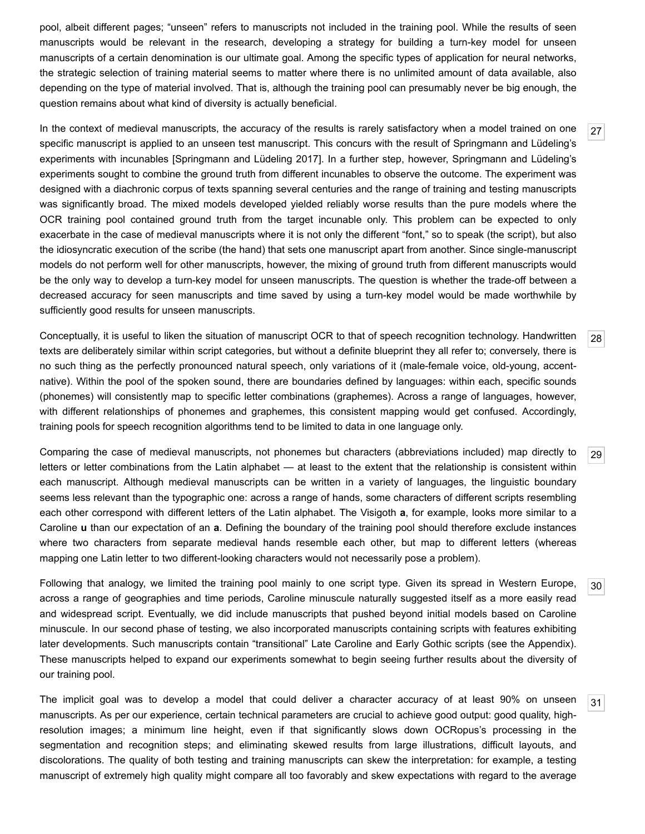pool, albeit different pages; "unseen" refers to manuscripts not included in the training pool. While the results of seen manuscripts would be relevant in the research, developing a strategy for building a turn-key model for unseen manuscripts of a certain denomination is our ultimate goal. Among the specific types of application for neural networks, the strategic selection of training material seems to matter where there is no unlimited amount of data available, also depending on the type of material involved. That is, although the training pool can presumably never be big enough, the question remains about what kind of diversity is actually beneficial.

<span id="page-6-0"></span>In the context of medieval manuscripts, the accuracy of the results is rarely satisfactory when a model trained on one specific manuscript is applied to an unseen test manuscript. This concurs with the result of Springmann and Lüdeling's experiments with incunables [\[Springmann and Lüdeling 2017](#page-16-7)]. In a further step, however, Springmann and Lüdeling's experiments sought to combine the ground truth from different incunables to observe the outcome. The experiment was designed with a diachronic corpus of texts spanning several centuries and the range of training and testing manuscripts was significantly broad. The mixed models developed yielded reliably worse results than the pure models where the OCR training pool contained ground truth from the target incunable only. This problem can be expected to only exacerbate in the case of medieval manuscripts where it is not only the different "font," so to speak (the script), but also the idiosyncratic execution of the scribe (the hand) that sets one manuscript apart from another. Since single-manuscript models do not perform well for other manuscripts, however, the mixing of ground truth from different manuscripts would be the only way to develop a turn-key model for unseen manuscripts. The question is whether the trade-off between a decreased accuracy for seen manuscripts and time saved by using a turn-key model would be made worthwhile by sufficiently good results for unseen manuscripts.

<span id="page-6-1"></span>Conceptually, it is useful to liken the situation of manuscript OCR to that of speech recognition technology. Handwritten texts are deliberately similar within script categories, but without a definite blueprint they all refer to; conversely, there is no such thing as the perfectly pronounced natural speech, only variations of it (male-female voice, old-young, accentnative). Within the pool of the spoken sound, there are boundaries defined by languages: within each, specific sounds (phonemes) will consistently map to specific letter combinations (graphemes). Across a range of languages, however, with different relationships of phonemes and graphemes, this consistent mapping would get confused. Accordingly, training pools for speech recognition algorithms tend to be limited to data in one language only.

<span id="page-6-2"></span>Comparing the case of medieval manuscripts, not phonemes but characters (abbreviations included) map directly to letters or letter combinations from the Latin alphabet — at least to the extent that the relationship is consistent within each manuscript. Although medieval manuscripts can be written in a variety of languages, the linguistic boundary seems less relevant than the typographic one: across a range of hands, some characters of different scripts resembling each other correspond with different letters of the Latin alphabet. The Visigoth **a**, for example, looks more similar to a Caroline **u** than our expectation of an **a**. Defining the boundary of the training pool should therefore exclude instances where two characters from separate medieval hands resemble each other, but map to different letters (whereas mapping one Latin letter to two different-looking characters would not necessarily pose a problem).

<span id="page-6-3"></span>Following that analogy, we limited the training pool mainly to one script type. Given its spread in Western Europe, across a range of geographies and time periods, Caroline minuscule naturally suggested itself as a more easily read and widespread script. Eventually, we did include manuscripts that pushed beyond initial models based on Caroline minuscule. In our second phase of testing, we also incorporated manuscripts containing scripts with features exhibiting later developments. Such manuscripts contain "transitional" Late Caroline and Early Gothic scripts (see the Appendix). These manuscripts helped to expand our experiments somewhat to begin seeing further results about the diversity of our training pool.

<span id="page-6-4"></span>The implicit goal was to develop a model that could deliver a character accuracy of at least 90% on unseen manuscripts. As per our experience, certain technical parameters are crucial to achieve good output: good quality, highresolution images; a minimum line height, even if that significantly slows down OCRopus's processing in the segmentation and recognition steps; and eliminating skewed results from large illustrations, difficult layouts, and discolorations. The quality of both testing and training manuscripts can skew the interpretation: for example, a testing manuscript of extremely high quality might compare all too favorably and skew expectations with regard to the average

[27](#page-6-0)

[28](#page-6-1)

[29](#page-6-2)

[30](#page-6-3)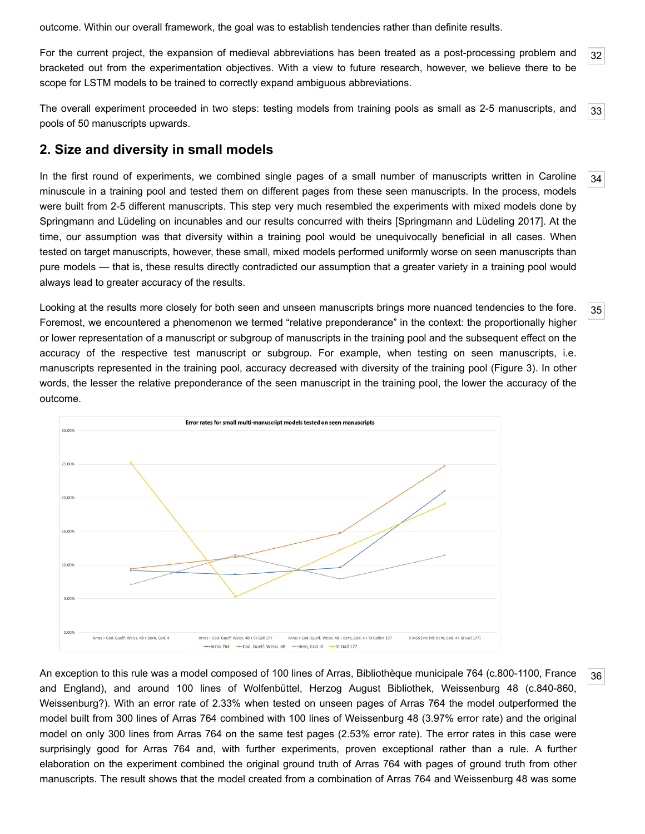outcome. Within our overall framework, the goal was to establish tendencies rather than definite results.

<span id="page-7-0"></span>[32](#page-7-0) For the current project, the expansion of medieval abbreviations has been treated as a post-processing problem and bracketed out from the experimentation objectives. With a view to future research, however, we believe there to be scope for LSTM models to be trained to correctly expand ambiguous abbreviations.

<span id="page-7-1"></span>[33](#page-7-1) The overall experiment proceeded in two steps: testing models from training pools as small as 2-5 manuscripts, and pools of 50 manuscripts upwards.

#### **2. Size and diversity in small models**

<span id="page-7-2"></span>In the first round of experiments, we combined single pages of a small number of manuscripts written in Caroline minuscule in a training pool and tested them on different pages from these seen manuscripts. In the process, models were built from 2-5 different manuscripts. This step very much resembled the experiments with mixed models done by Springmann and Lüdeling on incunables and our results concurred with theirs [\[Springmann and Lüdeling 2017](#page-16-7)]. At the time, our assumption was that diversity within a training pool would be unequivocally beneficial in all cases. When tested on target manuscripts, however, these small, mixed models performed uniformly worse on seen manuscripts than pure models — that is, these results directly contradicted our assumption that a greater variety in a training pool would always lead to greater accuracy of the results.

<span id="page-7-3"></span>Looking at the results more closely for both seen and unseen manuscripts brings more nuanced tendencies to the fore. Foremost, we encountered a phenomenon we termed "relative preponderance" in the context: the proportionally higher or lower representation of a manuscript or subgroup of manuscripts in the training pool and the subsequent effect on the accuracy of the respective test manuscript or subgroup. For example, when testing on seen manuscripts, i.e. manuscripts represented in the training pool, accuracy decreased with diversity of the training pool [\(Figure 3](#page-7-5)). In other words, the lesser the relative preponderance of the seen manuscript in the training pool, the lower the accuracy of the outcome.

<span id="page-7-5"></span>

<span id="page-7-4"></span>An exception to this rule was a model composed of 100 lines of Arras, Bibliothèque municipale 764 (c.800-1100, France and England), and around 100 lines of Wolfenbüttel, Herzog August Bibliothek, Weissenburg 48 (c.840-860, Weissenburg?). With an error rate of 2.33% when tested on unseen pages of Arras 764 the model outperformed the model built from 300 lines of Arras 764 combined with 100 lines of Weissenburg 48 (3.97% error rate) and the original model on only 300 lines from Arras 764 on the same test pages (2.53% error rate). The error rates in this case were surprisingly good for Arras 764 and, with further experiments, proven exceptional rather than a rule. A further elaboration on the experiment combined the original ground truth of Arras 764 with pages of ground truth from other manuscripts. The result shows that the model created from a combination of Arras 764 and Weissenburg 48 was some

[35](#page-7-3)

[36](#page-7-4)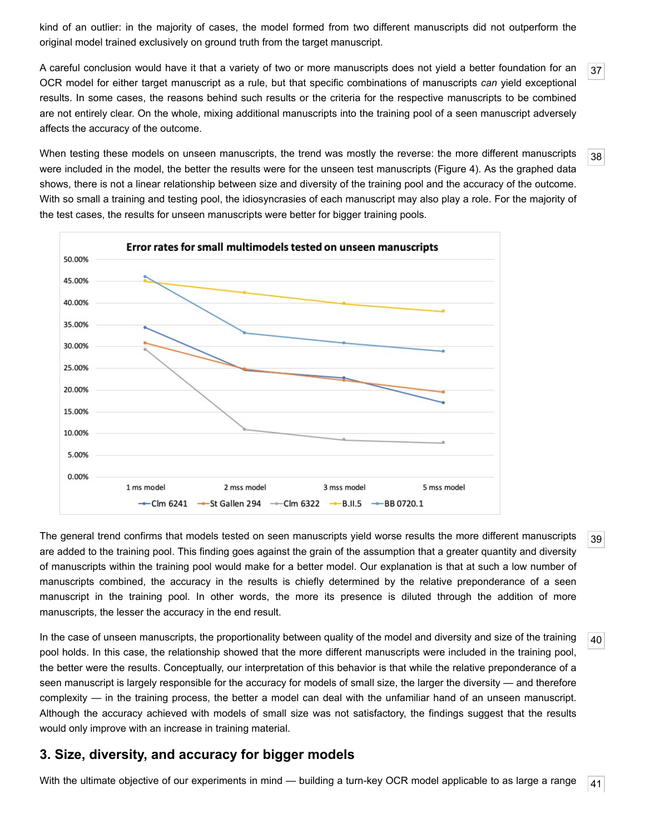kind of an outlier: in the majority of cases, the model formed from two different manuscripts did not outperform the original model trained exclusively on ground truth from the target manuscript.

<span id="page-8-0"></span>[37](#page-8-0) A careful conclusion would have it that a variety of two or more manuscripts does not yield a better foundation for an OCR model for either target manuscript as a rule, but that specific combinations of manuscripts *can* yield exceptional results. In some cases, the reasons behind such results or the criteria for the respective manuscripts to be combined are not entirely clear. On the whole, mixing additional manuscripts into the training pool of a seen manuscript adversely affects the accuracy of the outcome.

[38](#page-8-1)

[39](#page-8-2)

[40](#page-8-3)

<span id="page-8-1"></span>When testing these models on unseen manuscripts, the trend was mostly the reverse: the more different manuscripts were included in the model, the better the results were for the unseen test manuscripts ([Figure 4](#page-8-5)). As the graphed data shows, there is not a linear relationship between size and diversity of the training pool and the accuracy of the outcome. With so small a training and testing pool, the idiosyncrasies of each manuscript may also play a role. For the majority of the test cases, the results for unseen manuscripts were better for bigger training pools.

<span id="page-8-5"></span>

<span id="page-8-2"></span>The general trend confirms that models tested on seen manuscripts yield worse results the more different manuscripts are added to the training pool. This finding goes against the grain of the assumption that a greater quantity and diversity of manuscripts within the training pool would make for a better model. Our explanation is that at such a low number of manuscripts combined, the accuracy in the results is chiefly determined by the relative preponderance of a seen manuscript in the training pool. In other words, the more its presence is diluted through the addition of more manuscripts, the lesser the accuracy in the end result.

<span id="page-8-3"></span>In the case of unseen manuscripts, the proportionality between quality of the model and diversity and size of the training pool holds. In this case, the relationship showed that the more different manuscripts were included in the training pool, the better were the results. Conceptually, our interpretation of this behavior is that while the relative preponderance of a seen manuscript is largely responsible for the accuracy for models of small size, the larger the diversity — and therefore complexity — in the training process, the better a model can deal with the unfamiliar hand of an unseen manuscript. Although the accuracy achieved with models of small size was not satisfactory, the findings suggest that the results would only improve with an increase in training material.

#### **3. Size, diversity, and accuracy for bigger models**

<span id="page-8-4"></span>[41](#page-8-4) With the ultimate objective of our experiments in mind — building a turn-key OCR model applicable to as large a range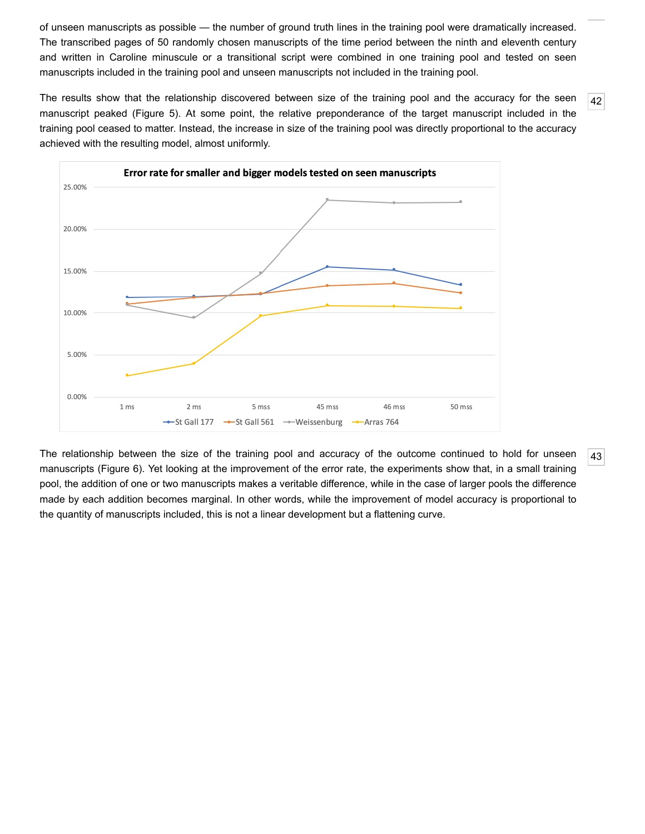of unseen manuscripts as possible — the number of ground truth lines in the training pool were dramatically increased. The transcribed pages of 50 randomly chosen manuscripts of the time period between the ninth and eleventh century and written in Caroline minuscule or a transitional script were combined in one training pool and tested on seen manuscripts included in the training pool and unseen manuscripts not included in the training pool.

<span id="page-9-0"></span>The results show that the relationship discovered between size of the training pool and the accuracy for the seen manuscript peaked ([Figure 5](#page-9-2)). At some point, the relative preponderance of the target manuscript included in the training pool ceased to matter. Instead, the increase in size of the training pool was directly proportional to the accuracy achieved with the resulting model, almost uniformly.

<span id="page-9-2"></span>

<span id="page-9-1"></span>The relationship between the size of the training pool and accuracy of the outcome continued to hold for unseen manuscripts ([Figure 6\)](#page-10-0). Yet looking at the improvement of the error rate, the experiments show that, in a small training pool, the addition of one or two manuscripts makes a veritable difference, while in the case of larger pools the difference made by each addition becomes marginal. In other words, while the improvement of model accuracy is proportional to the quantity of manuscripts included, this is not a linear development but a flattening curve.

[43](#page-9-1)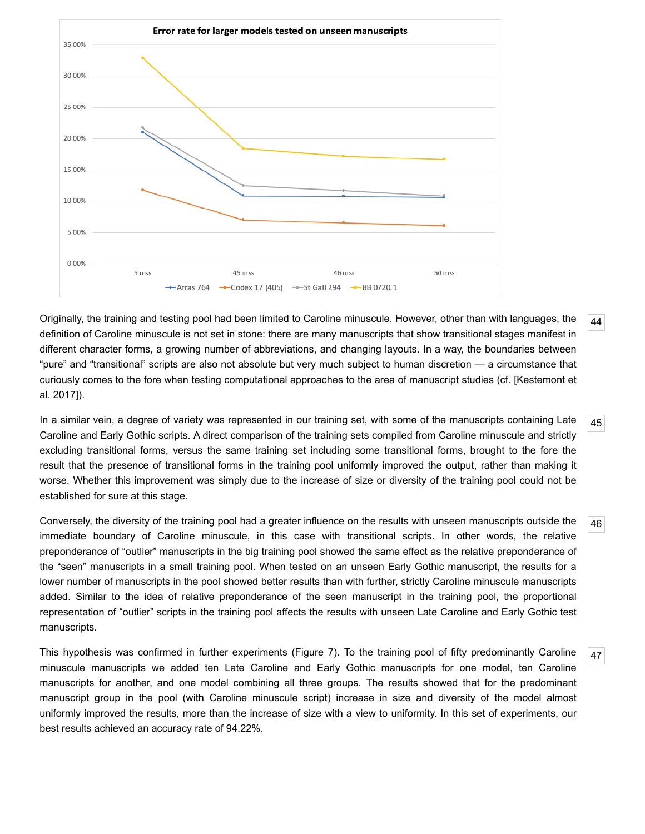<span id="page-10-0"></span>

<span id="page-10-1"></span>Originally, the training and testing pool had been limited to Caroline minuscule. However, other than with languages, the definition of Caroline minuscule is not set in stone: there are many manuscripts that show transitional stages manifest in different character forms, a growing number of abbreviations, and changing layouts. In a way, the boundaries between "pure" and "transitional" scripts are also not absolute but very much subject to human discretion — a circumstance that [curiously comes to the fore when testing computational approaches to the area of manuscript studies \(cf. \[Kestemont et](#page-15-2) al. 2017]).

<span id="page-10-2"></span>[45](#page-10-2) In a similar vein, a degree of variety was represented in our training set, with some of the manuscripts containing Late Caroline and Early Gothic scripts. A direct comparison of the training sets compiled from Caroline minuscule and strictly excluding transitional forms, versus the same training set including some transitional forms, brought to the fore the result that the presence of transitional forms in the training pool uniformly improved the output, rather than making it worse. Whether this improvement was simply due to the increase of size or diversity of the training pool could not be established for sure at this stage.

<span id="page-10-3"></span>[46](#page-10-3) Conversely, the diversity of the training pool had a greater influence on the results with unseen manuscripts outside the immediate boundary of Caroline minuscule, in this case with transitional scripts. In other words, the relative preponderance of "outlier" manuscripts in the big training pool showed the same effect as the relative preponderance of the "seen" manuscripts in a small training pool. When tested on an unseen Early Gothic manuscript, the results for a lower number of manuscripts in the pool showed better results than with further, strictly Caroline minuscule manuscripts added. Similar to the idea of relative preponderance of the seen manuscript in the training pool, the proportional representation of "outlier" scripts in the training pool affects the results with unseen Late Caroline and Early Gothic test manuscripts.

<span id="page-10-4"></span>This hypothesis was confirmed in further experiments [\(Figure 7\)](#page-11-0). To the training pool of fifty predominantly Caroline minuscule manuscripts we added ten Late Caroline and Early Gothic manuscripts for one model, ten Caroline manuscripts for another, and one model combining all three groups. The results showed that for the predominant manuscript group in the pool (with Caroline minuscule script) increase in size and diversity of the model almost uniformly improved the results, more than the increase of size with a view to uniformity. In this set of experiments, our best results achieved an accuracy rate of 94.22%.

[44](#page-10-1)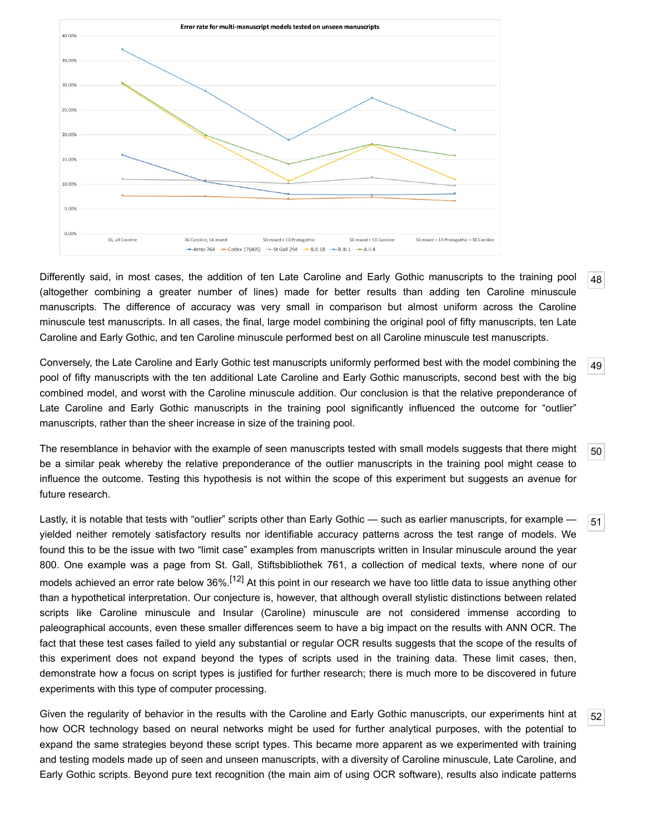<span id="page-11-0"></span>

<span id="page-11-1"></span>[48](#page-11-1) Differently said, in most cases, the addition of ten Late Caroline and Early Gothic manuscripts to the training pool (altogether combining a greater number of lines) made for better results than adding ten Caroline minuscule manuscripts. The difference of accuracy was very small in comparison but almost uniform across the Caroline minuscule test manuscripts. In all cases, the final, large model combining the original pool of fifty manuscripts, ten Late Caroline and Early Gothic, and ten Caroline minuscule performed best on all Caroline minuscule test manuscripts.

<span id="page-11-2"></span>[49](#page-11-2) Conversely, the Late Caroline and Early Gothic test manuscripts uniformly performed best with the model combining the pool of fifty manuscripts with the ten additional Late Caroline and Early Gothic manuscripts, second best with the big combined model, and worst with the Caroline minuscule addition. Our conclusion is that the relative preponderance of Late Caroline and Early Gothic manuscripts in the training pool significantly influenced the outcome for "outlier" manuscripts, rather than the sheer increase in size of the training pool.

<span id="page-11-3"></span>[50](#page-11-3) The resemblance in behavior with the example of seen manuscripts tested with small models suggests that there might be a similar peak whereby the relative preponderance of the outlier manuscripts in the training pool might cease to influence the outcome. Testing this hypothesis is not within the scope of this experiment but suggests an avenue for future research.

[51](#page-11-4)

[52](#page-11-5)

<span id="page-11-4"></span>Lastly, it is notable that tests with "outlier" scripts other than Early Gothic — such as earlier manuscripts, for example yielded neither remotely satisfactory results nor identifiable accuracy patterns across the test range of models. We found this to be the issue with two "limit case" examples from manuscripts written in Insular minuscule around the year 800. One example was a page from St. Gall, Stiftsbibliothek 761, a collection of medical texts, where none of our models achieved an error rate below 36%.<sup>[12]</sup> At this point in our research we have too little data to issue anything other than a hypothetical interpretation. Our conjecture is, however, that although overall stylistic distinctions between related scripts like Caroline minuscule and Insular (Caroline) minuscule are not considered immense according to paleographical accounts, even these smaller differences seem to have a big impact on the results with ANN OCR. The fact that these test cases failed to yield any substantial or regular OCR results suggests that the scope of the results of this experiment does not expand beyond the types of scripts used in the training data. These limit cases, then, demonstrate how a focus on script types is justified for further research; there is much more to be discovered in future experiments with this type of computer processing.

<span id="page-11-5"></span>Given the regularity of behavior in the results with the Caroline and Early Gothic manuscripts, our experiments hint at how OCR technology based on neural networks might be used for further analytical purposes, with the potential to expand the same strategies beyond these script types. This became more apparent as we experimented with training and testing models made up of seen and unseen manuscripts, with a diversity of Caroline minuscule, Late Caroline, and Early Gothic scripts. Beyond pure text recognition (the main aim of using OCR software), results also indicate patterns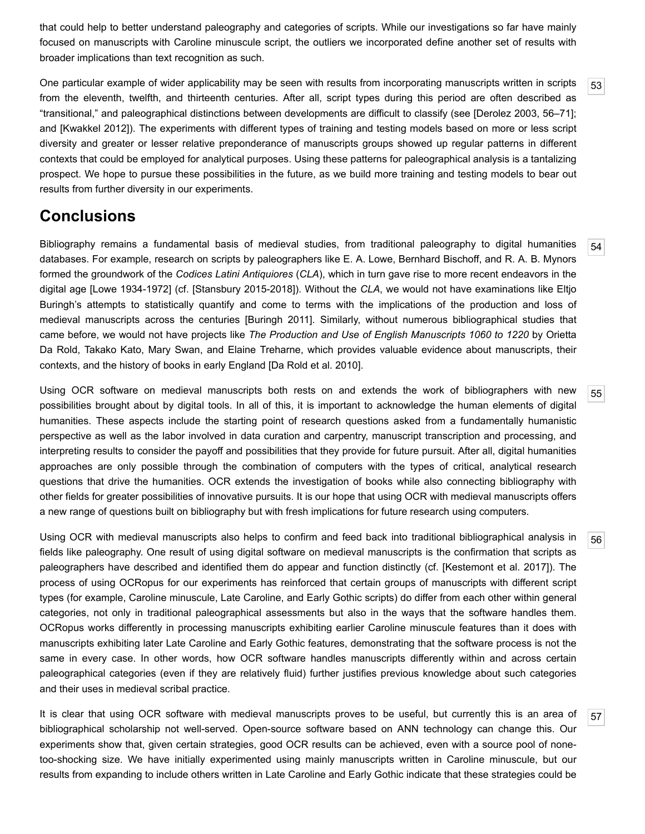that could help to better understand paleography and categories of scripts. While our investigations so far have mainly focused on manuscripts with Caroline minuscule script, the outliers we incorporated define another set of results with broader implications than text recognition as such.

<span id="page-12-0"></span>[53](#page-12-0) One particular example of wider applicability may be seen with results from incorporating manuscripts written in scripts from the eleventh, twelfth, and thirteenth centuries. After all, script types during this period are often described as "transitional," and paleographical distinctions between developments are difficult to classify (see [\[Derolez 2003,](#page-15-6) 56–71]; and [[Kwakkel 2012](#page-15-7)]). The experiments with different types of training and testing models based on more or less script diversity and greater or lesser relative preponderance of manuscripts groups showed up regular patterns in different contexts that could be employed for analytical purposes. Using these patterns for paleographical analysis is a tantalizing prospect. We hope to pursue these possibilities in the future, as we build more training and testing models to bear out results from further diversity in our experiments.

## **Conclusions**

<span id="page-12-1"></span>Bibliography remains a fundamental basis of medieval studies, from traditional paleography to digital humanities databases. For example, research on scripts by paleographers like E. A. Lowe, Bernhard Bischoff, and R. A. B. Mynors formed the groundwork of the *Codices Latini Antiquiores* (*CLA*), which in turn gave rise to more recent endeavors in the digital age [\[Lowe 1934-1972](#page-15-8)] (cf. [\[Stansbury 2015-2018\]](#page-16-11)). Without the *CLA*, we would not have examinations like Eltjo Buringh's attempts to statistically quantify and come to terms with the implications of the production and loss of medieval manuscripts across the centuries [\[Buringh 2011\]](#page-15-9). Similarly, without numerous bibliographical studies that came before, we would not have projects like *The Production and Use of English Manuscripts 1060 to 1220* by Orietta Da Rold, Takako Kato, Mary Swan, and Elaine Treharne, which provides valuable evidence about manuscripts, their contexts, and the history of books in early England [[Da Rold et al. 2010\]](#page-15-10).

<span id="page-12-2"></span>Using OCR software on medieval manuscripts both rests on and extends the work of bibliographers with new possibilities brought about by digital tools. In all of this, it is important to acknowledge the human elements of digital humanities. These aspects include the starting point of research questions asked from a fundamentally humanistic perspective as well as the labor involved in data curation and carpentry, manuscript transcription and processing, and interpreting results to consider the payoff and possibilities that they provide for future pursuit. After all, digital humanities approaches are only possible through the combination of computers with the types of critical, analytical research questions that drive the humanities. OCR extends the investigation of books while also connecting bibliography with other fields for greater possibilities of innovative pursuits. It is our hope that using OCR with medieval manuscripts offers a new range of questions built on bibliography but with fresh implications for future research using computers.

<span id="page-12-3"></span>Using OCR with medieval manuscripts also helps to confirm and feed back into traditional bibliographical analysis in fields like paleography. One result of using digital software on medieval manuscripts is the confirmation that scripts as paleographers have described and identified them do appear and function distinctly (cf. [[Kestemont et al. 2017\]](#page-15-2)). The process of using OCRopus for our experiments has reinforced that certain groups of manuscripts with different script types (for example, Caroline minuscule, Late Caroline, and Early Gothic scripts) do differ from each other within general categories, not only in traditional paleographical assessments but also in the ways that the software handles them. OCRopus works differently in processing manuscripts exhibiting earlier Caroline minuscule features than it does with manuscripts exhibiting later Late Caroline and Early Gothic features, demonstrating that the software process is not the same in every case. In other words, how OCR software handles manuscripts differently within and across certain paleographical categories (even if they are relatively fluid) further justifies previous knowledge about such categories and their uses in medieval scribal practice.

<span id="page-12-4"></span>It is clear that using OCR software with medieval manuscripts proves to be useful, but currently this is an area of bibliographical scholarship not well-served. Open-source software based on ANN technology can change this. Our experiments show that, given certain strategies, good OCR results can be achieved, even with a source pool of nonetoo-shocking size. We have initially experimented using mainly manuscripts written in Caroline minuscule, but our results from expanding to include others written in Late Caroline and Early Gothic indicate that these strategies could be

[56](#page-12-3)

[57](#page-12-4)

[55](#page-12-2)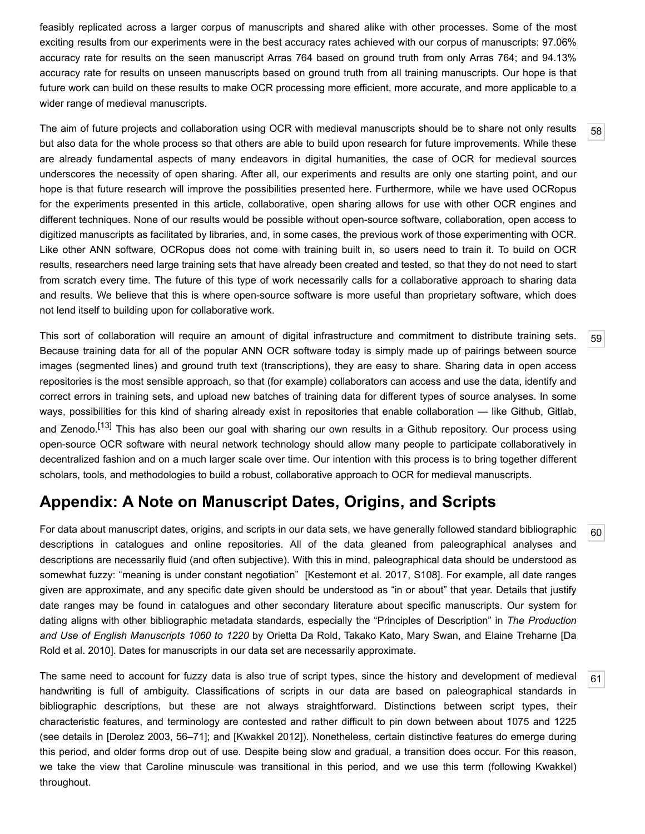feasibly replicated across a larger corpus of manuscripts and shared alike with other processes. Some of the most exciting results from our experiments were in the best accuracy rates achieved with our corpus of manuscripts: 97.06% accuracy rate for results on the seen manuscript Arras 764 based on ground truth from only Arras 764; and 94.13% accuracy rate for results on unseen manuscripts based on ground truth from all training manuscripts. Our hope is that future work can build on these results to make OCR processing more efficient, more accurate, and more applicable to a wider range of medieval manuscripts.

<span id="page-13-0"></span>The aim of future projects and collaboration using OCR with medieval manuscripts should be to share not only results but also data for the whole process so that others are able to build upon research for future improvements. While these are already fundamental aspects of many endeavors in digital humanities, the case of OCR for medieval sources underscores the necessity of open sharing. After all, our experiments and results are only one starting point, and our hope is that future research will improve the possibilities presented here. Furthermore, while we have used OCRopus for the experiments presented in this article, collaborative, open sharing allows for use with other OCR engines and different techniques. None of our results would be possible without open-source software, collaboration, open access to digitized manuscripts as facilitated by libraries, and, in some cases, the previous work of those experimenting with OCR. Like other ANN software, OCRopus does not come with training built in, so users need to train it. To build on OCR results, researchers need large training sets that have already been created and tested, so that they do not need to start from scratch every time. The future of this type of work necessarily calls for a collaborative approach to sharing data and results. We believe that this is where open-source software is more useful than proprietary software, which does not lend itself to building upon for collaborative work.

<span id="page-13-1"></span>This sort of collaboration will require an amount of digital infrastructure and commitment to distribute training sets. Because training data for all of the popular ANN OCR software today is simply made up of pairings between source images (segmented lines) and ground truth text (transcriptions), they are easy to share. Sharing data in open access repositories is the most sensible approach, so that (for example) collaborators can access and use the data, identify and correct errors in training sets, and upload new batches of training data for different types of source analyses. In some ways, possibilities for this kind of sharing already exist in repositories that enable collaboration — like Github, Gitlab, and Zenodo.<sup>[\[13\]](#page-14-15)</sup> This has also been our goal with sharing our own results in a Github repository. Our process using open-source OCR software with neural network technology should allow many people to participate collaboratively in decentralized fashion and on a much larger scale over time. Our intention with this process is to bring together different scholars, tools, and methodologies to build a robust, collaborative approach to OCR for medieval manuscripts.

## **Appendix: A Note on Manuscript Dates, Origins, and Scripts**

<span id="page-13-2"></span>For data about manuscript dates, origins, and scripts in our data sets, we have generally followed standard bibliographic descriptions in catalogues and online repositories. All of the data gleaned from paleographical analyses and descriptions are necessarily fluid (and often subjective). With this in mind, paleographical data should be understood as somewhat fuzzy: "meaning is under constant negotiation" [\[Kestemont et al. 2017](#page-15-2), S108]. For example, all date ranges given are approximate, and any specific date given should be understood as "in or about" that year. Details that justify date ranges may be found in catalogues and other secondary literature about specific manuscripts. Our system for dating aligns with other bibliographic metadata standards, especially the "Principles of Description" in *The Production and Use of English Manuscripts 1060 to 1220* by Orietta Da Rold, Takako Kato, Mary Swan, and Elaine Treharne [Da [Rold et al. 2010\]. Dates for manuscripts in our data set are necessarily approximate.](#page-15-10)

<span id="page-13-3"></span>The same need to account for fuzzy data is also true of script types, since the history and development of medieval handwriting is full of ambiguity. Classifications of scripts in our data are based on paleographical standards in bibliographic descriptions, but these are not always straightforward. Distinctions between script types, their characteristic features, and terminology are contested and rather difficult to pin down between about 1075 and 1225 (see details in [[Derolez 2003,](#page-15-6) 56–71]; and [[Kwakkel 2012\]](#page-15-7)). Nonetheless, certain distinctive features do emerge during this period, and older forms drop out of use. Despite being slow and gradual, a transition does occur. For this reason, we take the view that Caroline minuscule was transitional in this period, and we use this term (following Kwakkel) throughout.

[60](#page-13-2)

[61](#page-13-3)

[59](#page-13-1)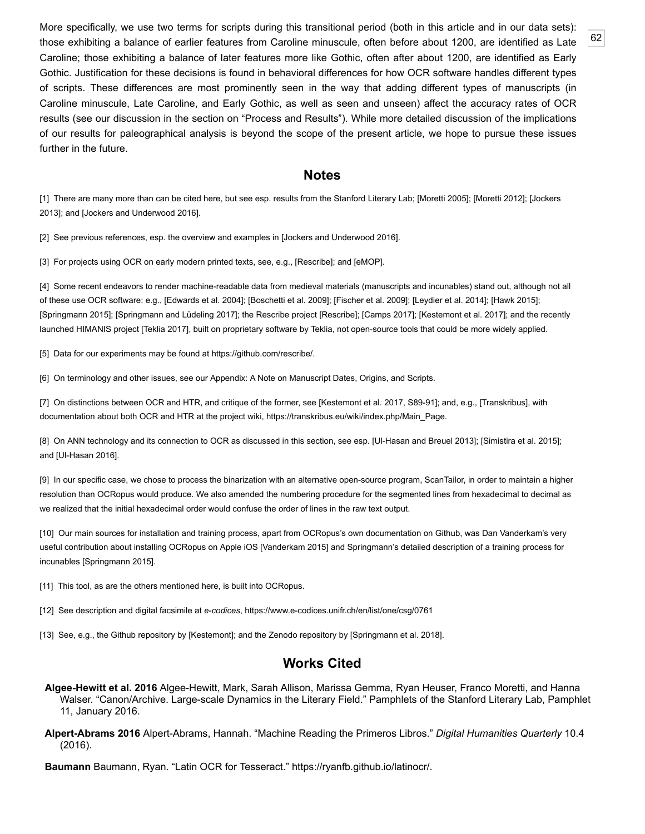<span id="page-14-16"></span>More specifically, we use two terms for scripts during this transitional period (both in this article and in our data sets): those exhibiting a balance of earlier features from Caroline minuscule, often before about 1200, are identified as Late Caroline; those exhibiting a balance of later features more like Gothic, often after about 1200, are identified as Early Gothic. Justification for these decisions is found in behavioral differences for how OCR software handles different types of scripts. These differences are most prominently seen in the way that adding different types of manuscripts (in Caroline minuscule, Late Caroline, and Early Gothic, as well as seen and unseen) affect the accuracy rates of OCR results (see our discussion in the section on "Process and Results"). While more detailed discussion of the implications of our results for paleographical analysis is beyond the scope of the present article, we hope to pursue these issues further in the future.

#### **Notes**

<span id="page-14-0"></span>[\[1\] There are many more than can be cited here, but see esp. results from the Stanford Literary Lab; \[](#page-15-13)[Moretti 2005](#page-15-11)[\]; \[M](#page-15-13)[oretti 201](#page-15-12)[2\]; \[Jockers](#page-15-13) 2013]; and [[Jockers and Underwood 2016](#page-15-14)].

<span id="page-14-2"></span>[2] See previous references, esp. the overview and examples in [\[Jockers and Underwood 2016\]](#page-15-14).

<span id="page-14-4"></span>[3] For projects using OCR on early modern printed texts, see, e.g., [\[Rescribe\]](#page-16-10); and [\[eMOP\]](#page-16-12).

<span id="page-14-5"></span>[4] Some recent endeavors to render machine-readable data from medieval materials (manuscripts and incunables) stand out, although not all of these use OCR software: e.g., [\[Edwards et al. 2004\]](#page-15-15); [[Boschetti et al. 2009](#page-15-16)]; [\[Fischer et al. 2009](#page-15-17)]; [[Leydier et al. 2014\]](#page-15-18); [[Hawk 2015\]](#page-15-1); [[Springmann 2015](#page-16-13)]; [[Springmann and Lüdeling 2017](#page-16-7)]; the Rescribe project [\[Rescribe](#page-16-10)]; [[Camps 2017](#page-15-19)]; [\[Kestemont et al. 2017\]](#page-15-2); and the recently launched HIMANIS project [\[Teklia 2017\]](#page-16-9), built on proprietary software by Teklia, not open-source tools that could be more widely applied.

<span id="page-14-6"></span>[5] Data for our experiments may be found at [https://github.com/rescribe/.](https://github.com/rescribe/)

<span id="page-14-7"></span>[6] On terminology and other issues, see our Appendix: A Note on Manuscript Dates, Origins, and Scripts.

<span id="page-14-8"></span>[7] On distinctions between OCR and HTR, and critique of the former, see [[Kestemont et al. 2017,](#page-15-2) S89-91]; and, e.g., [[Transkribus\]](#page-16-14), with documentation about both OCR and HTR at the project wiki, [https://transkribus.eu/wiki/index.php/Main\\_Page](https://transkribus.eu/wiki/index.php/Main_Page).

<span id="page-14-9"></span>[8] On ANN technology and its connection to OCR as discussed in this section, see esp. [[Ul-Hasan and Breuel 2013\]](#page-16-8); [[Simistira et al. 2015](#page-16-15)]; and [[Ul-Hasan 2016\]](#page-16-16).

<span id="page-14-10"></span>[9] In our specific case, we chose to process the binarization with an alternative open-source program, ScanTailor, in order to maintain a higher resolution than OCRopus would produce. We also amended the numbering procedure for the segmented lines from hexadecimal to decimal as we realized that the initial hexadecimal order would confuse the order of lines in the raw text output.

<span id="page-14-12"></span>[10] Our main sources for installation and training process, apart from OCRopus's own documentation on Github, was Dan Vanderkam's very useful contribution about installing OCRopus on Apple iOS [\[Vanderkam 2015\]](#page-16-17) and Springmann's detailed description of a training process for incunables [\[Springmann 2015\]](#page-16-13).

<span id="page-14-13"></span>[11] This tool, as are the others mentioned here, is built into OCRopus.

<span id="page-14-14"></span>[12] See description and digital facsimile at *e-codices*,<https://www.e-codices.unifr.ch/en/list/one/csg/0761>

<span id="page-14-15"></span>[13] See, e.g., the Github repository by [\[Kestemont\]](#page-15-20); and the Zenodo repository by [[Springmann et al. 2018](#page-16-18)].

#### **Works Cited**

- <span id="page-14-1"></span>**Algee-Hewitt et al. 2016** Algee-Hewitt, Mark, Sarah Allison, Marissa Gemma, Ryan Heuser, Franco Moretti, and Hanna Walser. "Canon/Archive. Large-scale Dynamics in the Literary Field." Pamphlets of the Stanford Literary Lab, Pamphlet 11, January 2016.
- <span id="page-14-3"></span>**Alpert-Abrams 2016** Alpert-Abrams, Hannah. "Machine Reading the Primeros Libros." *Digital Humanities Quarterly* 10.4 (2016).

<span id="page-14-11"></span>**Baumann** Baumann, Ryan. "Latin OCR for Tesseract."<https://ryanfb.github.io/latinocr/>.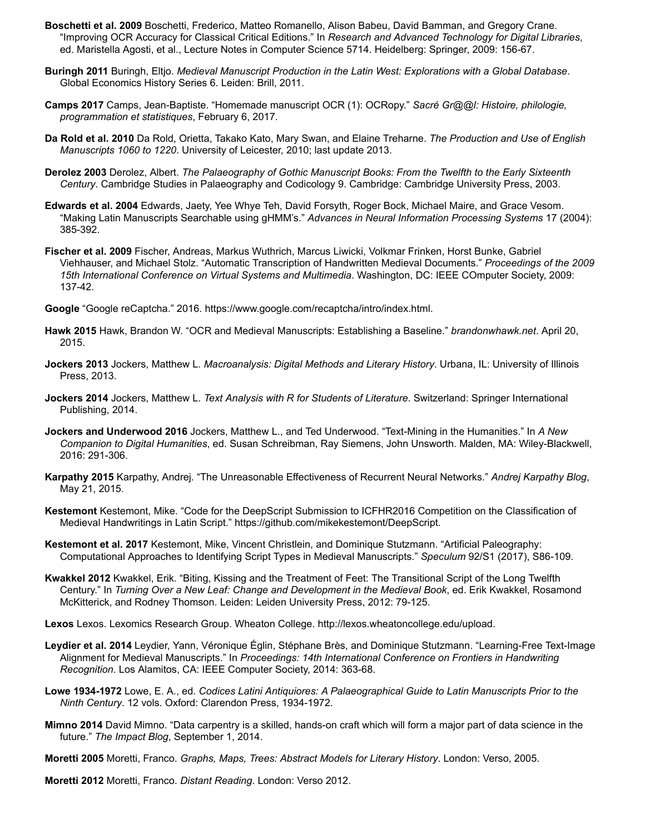- <span id="page-15-16"></span>**Boschetti et al. 2009** Boschetti, Frederico, Matteo Romanello, Alison Babeu, David Bamman, and Gregory Crane. "Improving OCR Accuracy for Classical Critical Editions." In *Research and Advanced Technology for Digital Libraries*, ed. Maristella Agosti, et al., Lecture Notes in Computer Science 5714. Heidelberg: Springer, 2009: 156-67.
- <span id="page-15-9"></span>**Buringh 2011** Buringh, Eltjo. *Medieval Manuscript Production in the Latin West: Explorations with a Global Database*. Global Economics History Series 6. Leiden: Brill, 2011.
- <span id="page-15-19"></span>**Camps 2017** Camps, Jean-Baptiste. "Homemade manuscript OCR (1): OCRopy." *Sacré Gr@@l: Histoire, philologie, programmation et statistiques*, February 6, 2017.
- <span id="page-15-10"></span>**Da Rold et al. 2010** Da Rold, Orietta, Takako Kato, Mary Swan, and Elaine Treharne. *The Production and Use of English Manuscripts 1060 to 1220*. University of Leicester, 2010; last update 2013.
- <span id="page-15-6"></span>**Derolez 2003** Derolez, Albert. *The Palaeography of Gothic Manuscript Books: From the Twelfth to the Early Sixteenth Century*. Cambridge Studies in Palaeography and Codicology 9. Cambridge: Cambridge University Press, 2003.
- <span id="page-15-15"></span>**Edwards et al. 2004** Edwards, Jaety, Yee Whye Teh, David Forsyth, Roger Bock, Michael Maire, and Grace Vesom. "Making Latin Manuscripts Searchable using gHMM's." *Advances in Neural Information Processing Systems* 17 (2004): 385-392.
- <span id="page-15-17"></span>**Fischer et al. 2009** Fischer, Andreas, Markus Wuthrich, Marcus Liwicki, Volkmar Frinken, Horst Bunke, Gabriel Viehhauser, and Michael Stolz. "Automatic Transcription of Handwritten Medieval Documents." *Proceedings of the 2009 15th International Conference on Virtual Systems and Multimedia*. Washington, DC: IEEE COmputer Society, 2009: 137-42.
- <span id="page-15-4"></span>**Google** "Google reCaptcha." 2016. [https://www.google.com/recaptcha/intro/index.html.](https://www.google.com/recaptcha/intro/index.html)
- <span id="page-15-1"></span>**Hawk 2015** Hawk, Brandon W. "OCR and Medieval Manuscripts: Establishing a Baseline." *brandonwhawk.net*. April 20, 2015.
- <span id="page-15-13"></span>**Jockers 2013** Jockers, Matthew L. *Macroanalysis: Digital Methods and Literary History*. Urbana, IL: University of Illinois Press, 2013.
- <span id="page-15-0"></span>**Jockers 2014** Jockers, Matthew L. *Text Analysis with R for Students of Literature*. Switzerland: Springer International Publishing, 2014.
- <span id="page-15-14"></span>**Jockers and Underwood 2016** Jockers, Matthew L., and Ted Underwood. "Text-Mining in the Humanities." In *A New Companion to Digital Humanities*, ed. Susan Schreibman, Ray Siemens, John Unsworth. Malden, MA: Wiley-Blackwell, 2016: 291-306.
- <span id="page-15-5"></span>**Karpathy 2015** Karpathy, Andrej. "The Unreasonable Effectiveness of Recurrent Neural Networks." *Andrej Karpathy Blog*, May 21, 2015.
- <span id="page-15-20"></span>**Kestemont** Kestemont, Mike. "Code for the DeepScript Submission to ICFHR2016 Competition on the Classification of Medieval Handwritings in Latin Script." <https://github.com/mikekestemont/DeepScript>.
- <span id="page-15-2"></span>**Kestemont et al. 2017** Kestemont, Mike, Vincent Christlein, and Dominique Stutzmann. "Artificial Paleography: Computational Approaches to Identifying Script Types in Medieval Manuscripts." *Speculum* 92/S1 (2017), S86-109.
- <span id="page-15-7"></span>**Kwakkel 2012** Kwakkel, Erik. "Biting, Kissing and the Treatment of Feet: The Transitional Script of the Long Twelfth Century." In *Turning Over a New Leaf: Change and Development in the Medieval Book*, ed. Erik Kwakkel, Rosamond McKitterick, and Rodney Thomson. Leiden: Leiden University Press, 2012: 79-125.
- **Lexos** Lexos. Lexomics Research Group. Wheaton College. [http://lexos.wheatoncollege.edu/upload.](http://lexos.wheatoncollege.edu/upload)
- <span id="page-15-18"></span>**Leydier et al. 2014** Leydier, Yann, Véronique Églin, Stéphane Brès, and Dominique Stutzmann. "Learning-Free Text-Image Alignment for Medieval Manuscripts." In *Proceedings: 14th International Conference on Frontiers in Handwriting Recognition*. Los Alamitos, CA: IEEE Computer Society, 2014: 363-68.
- <span id="page-15-8"></span>**Lowe 1934-1972** Lowe, E. A., ed. *Codices Latini Antiquiores: A Palaeographical Guide to Latin Manuscripts Prior to the Ninth Century*. 12 vols. Oxford: Clarendon Press, 1934-1972.
- <span id="page-15-3"></span>**Mimno 2014** David Mimno. "Data carpentry is a skilled, hands-on craft which will form a major part of data science in the future." *The Impact Blog*, September 1, 2014.
- <span id="page-15-11"></span>**Moretti 2005** Moretti, Franco. *Graphs, Maps, Trees: Abstract Models for Literary History*. London: Verso, 2005.

<span id="page-15-12"></span>**Moretti 2012** Moretti, Franco. *Distant Reading*. London: Verso 2012.